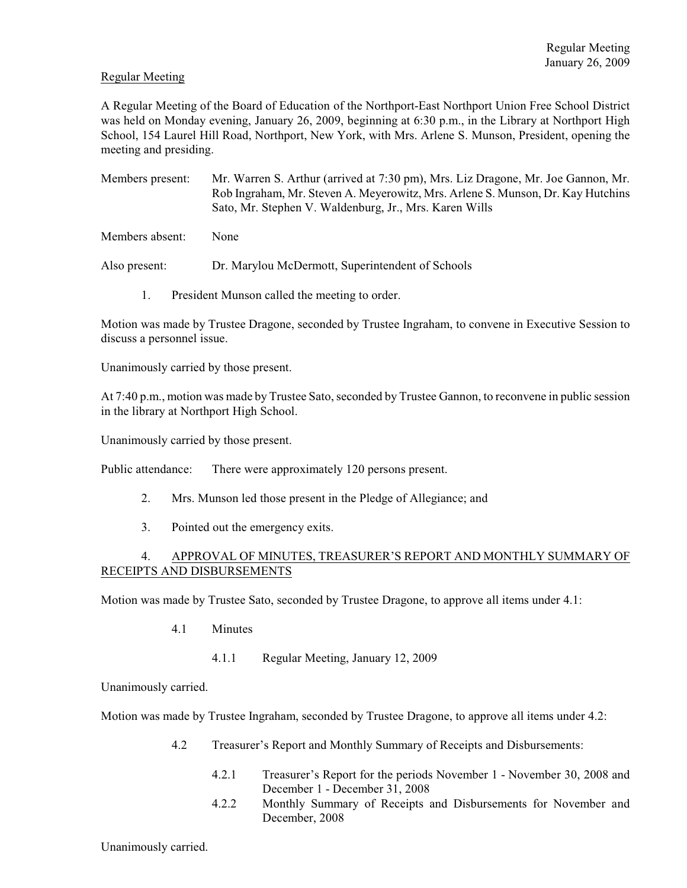# Regular Meeting

A Regular Meeting of the Board of Education of the Northport-East Northport Union Free School District was held on Monday evening, January 26, 2009, beginning at 6:30 p.m., in the Library at Northport High School, 154 Laurel Hill Road, Northport, New York, with Mrs. Arlene S. Munson, President, opening the meeting and presiding.

Members present: Mr. Warren S. Arthur (arrived at 7:30 pm), Mrs. Liz Dragone, Mr. Joe Gannon, Mr. Rob Ingraham, Mr. Steven A. Meyerowitz, Mrs. Arlene S. Munson, Dr. Kay Hutchins Sato, Mr. Stephen V. Waldenburg, Jr., Mrs. Karen Wills

Members absent: None

Also present: Dr. Marylou McDermott, Superintendent of Schools

1. President Munson called the meeting to order.

Motion was made by Trustee Dragone, seconded by Trustee Ingraham, to convene in Executive Session to discuss a personnel issue.

Unanimously carried by those present.

At 7:40 p.m., motion was made by Trustee Sato, seconded by Trustee Gannon, to reconvene in public session in the library at Northport High School.

Unanimously carried by those present.

Public attendance: There were approximately 120 persons present.

- 2. Mrs. Munson led those present in the Pledge of Allegiance; and
- 3. Pointed out the emergency exits.

# 4. APPROVAL OF MINUTES, TREASURER'S REPORT AND MONTHLY SUMMARY OF RECEIPTS AND DISBURSEMENTS

Motion was made by Trustee Sato, seconded by Trustee Dragone, to approve all items under 4.1:

- 4.1 Minutes
	- 4.1.1 Regular Meeting, January 12, 2009

Unanimously carried.

Motion was made by Trustee Ingraham, seconded by Trustee Dragone, to approve all items under 4.2:

- 4.2 Treasurer's Report and Monthly Summary of Receipts and Disbursements:
	- 4.2.1 Treasurer's Report for the periods November 1 November 30, 2008 and December 1 - December 31, 2008
	- 4.2.2 Monthly Summary of Receipts and Disbursements for November and December, 2008

Unanimously carried.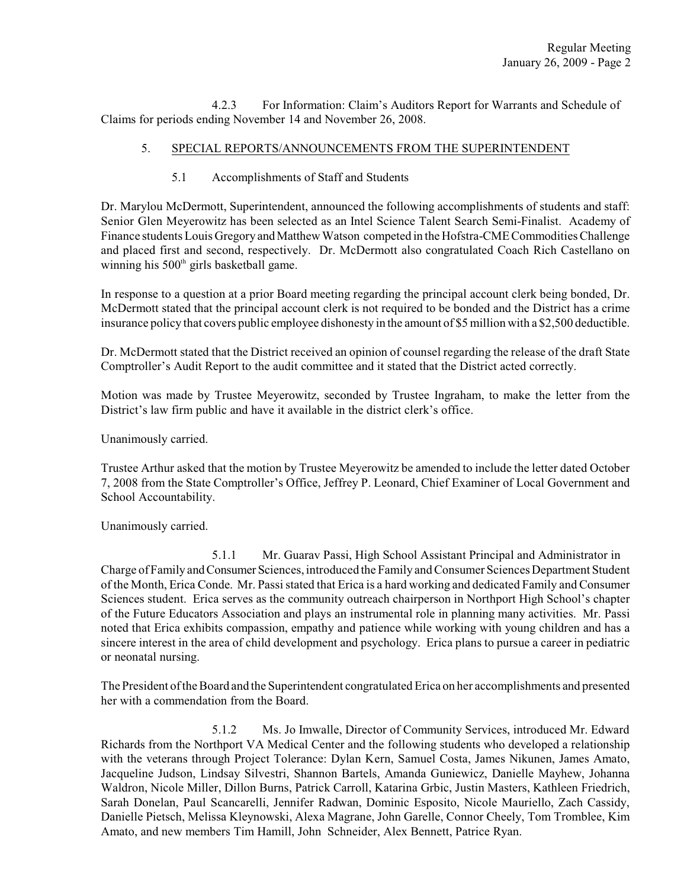4.2.3 For Information: Claim's Auditors Report for Warrants and Schedule of Claims for periods ending November 14 and November 26, 2008.

# 5. SPECIAL REPORTS/ANNOUNCEMENTS FROM THE SUPERINTENDENT

# 5.1 Accomplishments of Staff and Students

Dr. Marylou McDermott, Superintendent, announced the following accomplishments of students and staff: Senior Glen Meyerowitz has been selected as an Intel Science Talent Search Semi-Finalist. Academy of Finance students Louis Gregory and Matthew Watson competed in the Hofstra-CME Commodities Challenge and placed first and second, respectively. Dr. McDermott also congratulated Coach Rich Castellano on winning his 500<sup>th</sup> girls basketball game.

In response to a question at a prior Board meeting regarding the principal account clerk being bonded, Dr. McDermott stated that the principal account clerk is not required to be bonded and the District has a crime insurance policy that covers public employee dishonesty in the amount of \$5 million with a \$2,500 deductible.

Dr. McDermott stated that the District received an opinion of counsel regarding the release of the draft State Comptroller's Audit Report to the audit committee and it stated that the District acted correctly.

Motion was made by Trustee Meyerowitz, seconded by Trustee Ingraham, to make the letter from the District's law firm public and have it available in the district clerk's office.

Unanimously carried.

Trustee Arthur asked that the motion by Trustee Meyerowitz be amended to include the letter dated October 7, 2008 from the State Comptroller's Office, Jeffrey P. Leonard, Chief Examiner of Local Government and School Accountability.

Unanimously carried.

5.1.1 Mr. Guarav Passi, High School Assistant Principal and Administrator in Charge of Family and Consumer Sciences, introduced the Family and Consumer Sciences Department Student of the Month, Erica Conde. Mr. Passi stated that Erica is a hard working and dedicated Family and Consumer Sciences student. Erica serves as the community outreach chairperson in Northport High School's chapter of the Future Educators Association and plays an instrumental role in planning many activities. Mr. Passi noted that Erica exhibits compassion, empathy and patience while working with young children and has a sincere interest in the area of child development and psychology. Erica plans to pursue a career in pediatric or neonatal nursing.

The President of the Board and the Superintendent congratulated Erica on her accomplishments and presented her with a commendation from the Board.

5.1.2 Ms. Jo Imwalle, Director of Community Services, introduced Mr. Edward Richards from the Northport VA Medical Center and the following students who developed a relationship with the veterans through Project Tolerance: Dylan Kern, Samuel Costa, James Nikunen, James Amato, Jacqueline Judson, Lindsay Silvestri, Shannon Bartels, Amanda Guniewicz, Danielle Mayhew, Johanna Waldron, Nicole Miller, Dillon Burns, Patrick Carroll, Katarina Grbic, Justin Masters, Kathleen Friedrich, Sarah Donelan, Paul Scancarelli, Jennifer Radwan, Dominic Esposito, Nicole Mauriello, Zach Cassidy, Danielle Pietsch, Melissa Kleynowski, Alexa Magrane, John Garelle, Connor Cheely, Tom Tromblee, Kim Amato, and new members Tim Hamill, John Schneider, Alex Bennett, Patrice Ryan.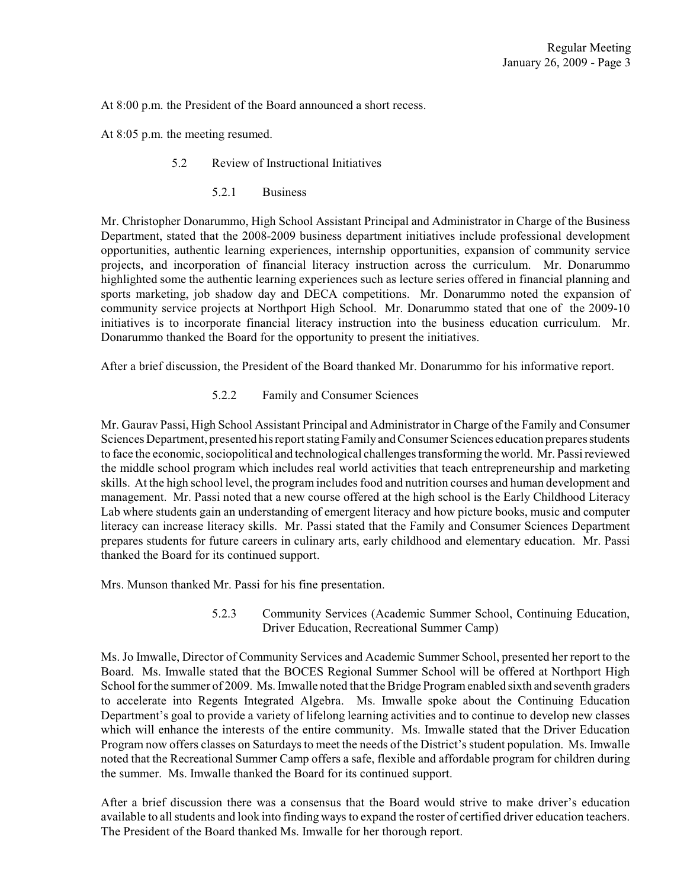At 8:00 p.m. the President of the Board announced a short recess.

At 8:05 p.m. the meeting resumed.

- 5.2 Review of Instructional Initiatives
	- 5.2.1 Business

Mr. Christopher Donarummo, High School Assistant Principal and Administrator in Charge of the Business Department, stated that the 2008-2009 business department initiatives include professional development opportunities, authentic learning experiences, internship opportunities, expansion of community service projects, and incorporation of financial literacy instruction across the curriculum. Mr. Donarummo highlighted some the authentic learning experiences such as lecture series offered in financial planning and sports marketing, job shadow day and DECA competitions. Mr. Donarummo noted the expansion of community service projects at Northport High School. Mr. Donarummo stated that one of the 2009-10 initiatives is to incorporate financial literacy instruction into the business education curriculum. Mr. Donarummo thanked the Board for the opportunity to present the initiatives.

After a brief discussion, the President of the Board thanked Mr. Donarummo for his informative report.

5.2.2 Family and Consumer Sciences

Mr. Gaurav Passi, High School Assistant Principal and Administrator in Charge of the Family and Consumer Sciences Department, presented his report stating Family and Consumer Sciences education prepares students to face the economic, sociopolitical and technological challenges transforming the world. Mr. Passi reviewed the middle school program which includes real world activities that teach entrepreneurship and marketing skills. At the high school level, the program includes food and nutrition courses and human development and management. Mr. Passi noted that a new course offered at the high school is the Early Childhood Literacy Lab where students gain an understanding of emergent literacy and how picture books, music and computer literacy can increase literacy skills. Mr. Passi stated that the Family and Consumer Sciences Department prepares students for future careers in culinary arts, early childhood and elementary education. Mr. Passi thanked the Board for its continued support.

Mrs. Munson thanked Mr. Passi for his fine presentation.

5.2.3 Community Services (Academic Summer School, Continuing Education, Driver Education, Recreational Summer Camp)

Ms. Jo Imwalle, Director of Community Services and Academic Summer School, presented her report to the Board. Ms. Imwalle stated that the BOCES Regional Summer School will be offered at Northport High School for the summer of 2009. Ms. Imwalle noted that the Bridge Program enabled sixth and seventh graders to accelerate into Regents Integrated Algebra. Ms. Imwalle spoke about the Continuing Education Department's goal to provide a variety of lifelong learning activities and to continue to develop new classes which will enhance the interests of the entire community. Ms. Imwalle stated that the Driver Education Program now offers classes on Saturdays to meet the needs of the District's student population. Ms. Imwalle noted that the Recreational Summer Camp offers a safe, flexible and affordable program for children during the summer. Ms. Imwalle thanked the Board for its continued support.

After a brief discussion there was a consensus that the Board would strive to make driver's education available to all students and look into finding ways to expand the roster of certified driver education teachers. The President of the Board thanked Ms. Imwalle for her thorough report.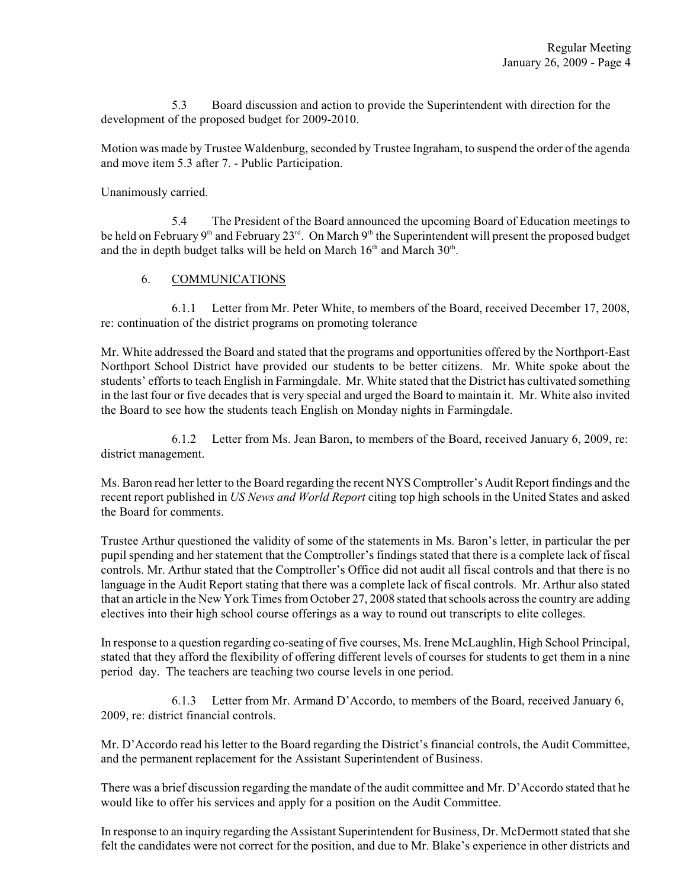5.3 Board discussion and action to provide the Superintendent with direction for the development of the proposed budget for 2009-2010.

Motion was made by Trustee Waldenburg, seconded by Trustee Ingraham, to suspend the order of the agenda and move item 5.3 after 7. - Public Participation.

Unanimously carried.

5.4 The President of the Board announced the upcoming Board of Education meetings to be held on February  $9<sup>th</sup>$  and February  $23<sup>rd</sup>$ . On March  $9<sup>th</sup>$  the Superintendent will present the proposed budget and the in depth budget talks will be held on March  $16^{\text{th}}$  and March  $30^{\text{th}}$ .

### 6. COMMUNICATIONS

6.1.1 Letter from Mr. Peter White, to members of the Board, received December 17, 2008, re: continuation of the district programs on promoting tolerance

Mr. White addressed the Board and stated that the programs and opportunities offered by the Northport-East Northport School District have provided our students to be better citizens. Mr. White spoke about the students' efforts to teach English in Farmingdale. Mr. White stated that the District has cultivated something in the last four or five decades that is very special and urged the Board to maintain it. Mr. White also invited the Board to see how the students teach English on Monday nights in Farmingdale.

6.1.2 Letter from Ms. Jean Baron, to members of the Board, received January 6, 2009, re: district management.

Ms. Baron read her letter to the Board regarding the recent NYS Comptroller's Audit Report findings and the recent report published in *US News and World Report* citing top high schools in the United States and asked the Board for comments.

Trustee Arthur questioned the validity of some of the statements in Ms. Baron's letter, in particular the per pupil spending and her statement that the Comptroller's findings stated that there is a complete lack of fiscal controls. Mr. Arthur stated that the Comptroller's Office did not audit all fiscal controls and that there is no language in the Audit Report stating that there was a complete lack of fiscal controls. Mr. Arthur also stated that an article in the New York Times fromOctober 27, 2008 stated that schools across the country are adding electives into their high school course offerings as a way to round out transcripts to elite colleges.

In response to a question regarding co-seating of five courses, Ms. Irene McLaughlin, High School Principal, stated that they afford the flexibility of offering different levels of courses for students to get them in a nine period day. The teachers are teaching two course levels in one period.

6.1.3 Letter from Mr. Armand D'Accordo, to members of the Board, received January 6, 2009, re: district financial controls.

Mr. D'Accordo read his letter to the Board regarding the District's financial controls, the Audit Committee, and the permanent replacement for the Assistant Superintendent of Business.

There was a brief discussion regarding the mandate of the audit committee and Mr. D'Accordo stated that he would like to offer his services and apply for a position on the Audit Committee.

In response to an inquiry regarding the Assistant Superintendent for Business, Dr. McDermott stated that she felt the candidates were not correct for the position, and due to Mr. Blake's experience in other districts and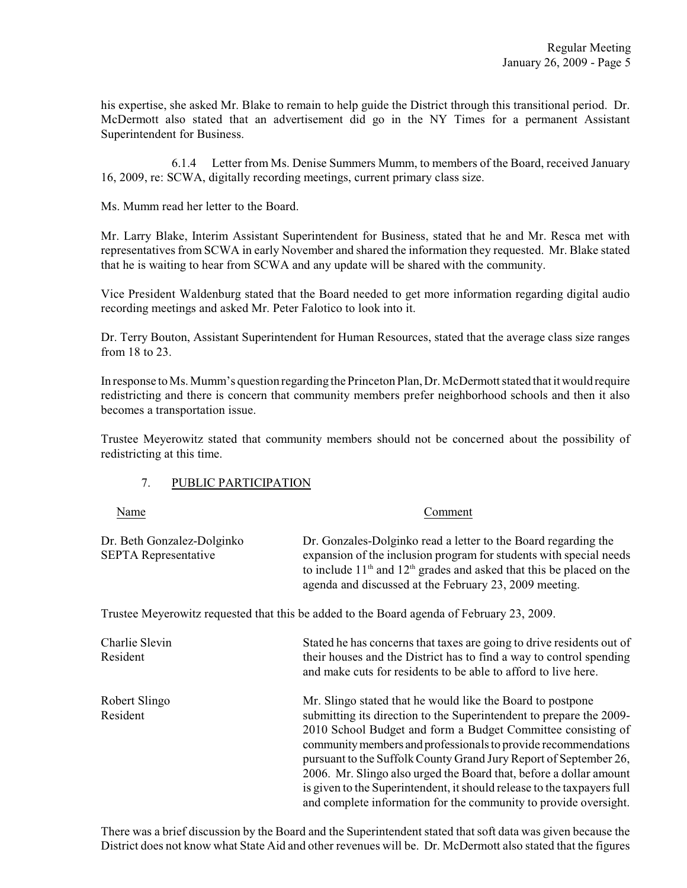his expertise, she asked Mr. Blake to remain to help guide the District through this transitional period. Dr. McDermott also stated that an advertisement did go in the NY Times for a permanent Assistant Superintendent for Business.

6.1.4 Letter from Ms. Denise Summers Mumm, to members of the Board, received January 16, 2009, re: SCWA, digitally recording meetings, current primary class size.

Ms. Mumm read her letter to the Board.

Mr. Larry Blake, Interim Assistant Superintendent for Business, stated that he and Mr. Resca met with representatives from SCWA in early November and shared the information they requested. Mr. Blake stated that he is waiting to hear from SCWA and any update will be shared with the community.

Vice President Waldenburg stated that the Board needed to get more information regarding digital audio recording meetings and asked Mr. Peter Falotico to look into it.

Dr. Terry Bouton, Assistant Superintendent for Human Resources, stated that the average class size ranges from 18 to 23.

In response to Ms. Mumm's question regarding the Princeton Plan, Dr. McDermott stated that it would require redistricting and there is concern that community members prefer neighborhood schools and then it also becomes a transportation issue.

Trustee Meyerowitz stated that community members should not be concerned about the possibility of redistricting at this time.

### 7. PUBLIC PARTICIPATION

| Name                                                      | Comment                                                                                                                                                                                                                                                                                                                                                                                                                                                                                   |  |  |
|-----------------------------------------------------------|-------------------------------------------------------------------------------------------------------------------------------------------------------------------------------------------------------------------------------------------------------------------------------------------------------------------------------------------------------------------------------------------------------------------------------------------------------------------------------------------|--|--|
| Dr. Beth Gonzalez-Dolginko<br><b>SEPTA Representative</b> | Dr. Gonzales-Dolginko read a letter to the Board regarding the<br>expansion of the inclusion program for students with special needs<br>to include $11th$ and $12th$ grades and asked that this be placed on the<br>agenda and discussed at the February 23, 2009 meeting.                                                                                                                                                                                                                |  |  |
|                                                           | Trustee Meyerowitz requested that this be added to the Board agenda of February 23, 2009.                                                                                                                                                                                                                                                                                                                                                                                                 |  |  |
| Charlie Slevin<br>Resident                                | Stated he has concerns that taxes are going to drive residents out of<br>their houses and the District has to find a way to control spending<br>and make cuts for residents to be able to afford to live here.                                                                                                                                                                                                                                                                            |  |  |
| Robert Slingo<br>Resident                                 | Mr. Slingo stated that he would like the Board to postpone<br>submitting its direction to the Superintendent to prepare the 2009-<br>2010 School Budget and form a Budget Committee consisting of<br>community members and professionals to provide recommendations<br>pursuant to the Suffolk County Grand Jury Report of September 26,<br>2006. Mr. Slingo also urged the Board that, before a dollar amount<br>is given to the Superintendent, it should release to the taxpayers full |  |  |

There was a brief discussion by the Board and the Superintendent stated that soft data was given because the District does not know what State Aid and other revenues will be. Dr. McDermott also stated that the figures

and complete information for the community to provide oversight.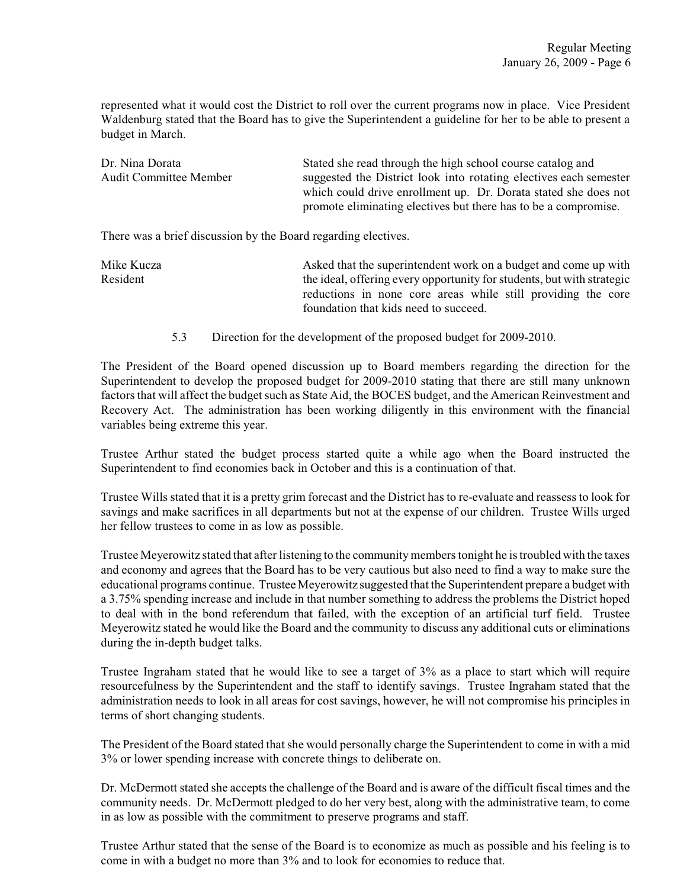represented what it would cost the District to roll over the current programs now in place. Vice President Waldenburg stated that the Board has to give the Superintendent a guideline for her to be able to present a budget in March.

| Dr. Nina Dorata        | Stated she read through the high school course catalog and        |  |  |
|------------------------|-------------------------------------------------------------------|--|--|
| Audit Committee Member | suggested the District look into rotating electives each semester |  |  |
|                        | which could drive enrollment up. Dr. Dorata stated she does not   |  |  |
|                        | promote eliminating electives but there has to be a compromise.   |  |  |

There was a brief discussion by the Board regarding electives.

| Mike Kucza | Asked that the superintendent work on a budget and come up with        |  |  |
|------------|------------------------------------------------------------------------|--|--|
| Resident   | the ideal, offering every opportunity for students, but with strategic |  |  |
|            | reductions in none core areas while still providing the core           |  |  |
|            | foundation that kids need to succeed.                                  |  |  |

5.3 Direction for the development of the proposed budget for 2009-2010.

The President of the Board opened discussion up to Board members regarding the direction for the Superintendent to develop the proposed budget for 2009-2010 stating that there are still many unknown factors that will affect the budget such as State Aid, the BOCES budget, and the American Reinvestment and Recovery Act. The administration has been working diligently in this environment with the financial variables being extreme this year.

Trustee Arthur stated the budget process started quite a while ago when the Board instructed the Superintendent to find economies back in October and this is a continuation of that.

Trustee Wills stated that it is a pretty grim forecast and the District has to re-evaluate and reassess to look for savings and make sacrifices in all departments but not at the expense of our children. Trustee Wills urged her fellow trustees to come in as low as possible.

Trustee Meyerowitz stated that after listening to the community members tonight he is troubled with the taxes and economy and agrees that the Board has to be very cautious but also need to find a way to make sure the educational programs continue. Trustee Meyerowitz suggested that the Superintendent prepare a budget with a 3.75% spending increase and include in that number something to address the problems the District hoped to deal with in the bond referendum that failed, with the exception of an artificial turf field. Trustee Meyerowitz stated he would like the Board and the community to discuss any additional cuts or eliminations during the in-depth budget talks.

Trustee Ingraham stated that he would like to see a target of 3% as a place to start which will require resourcefulness by the Superintendent and the staff to identify savings. Trustee Ingraham stated that the administration needs to look in all areas for cost savings, however, he will not compromise his principles in terms of short changing students.

The President of the Board stated that she would personally charge the Superintendent to come in with a mid 3% or lower spending increase with concrete things to deliberate on.

Dr. McDermott stated she accepts the challenge of the Board and is aware of the difficult fiscal times and the community needs. Dr. McDermott pledged to do her very best, along with the administrative team, to come in as low as possible with the commitment to preserve programs and staff.

Trustee Arthur stated that the sense of the Board is to economize as much as possible and his feeling is to come in with a budget no more than 3% and to look for economies to reduce that.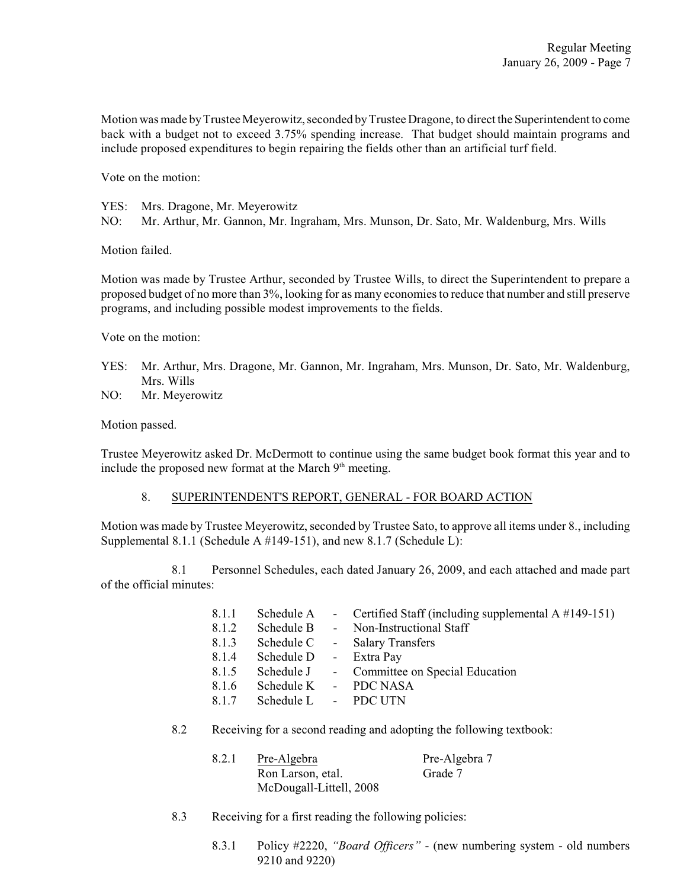Motion was made by Trustee Meyerowitz, seconded by Trustee Dragone, to direct the Superintendent to come back with a budget not to exceed 3.75% spending increase. That budget should maintain programs and include proposed expenditures to begin repairing the fields other than an artificial turf field.

Vote on the motion:

YES: Mrs. Dragone, Mr. Meyerowitz

NO: Mr. Arthur, Mr. Gannon, Mr. Ingraham, Mrs. Munson, Dr. Sato, Mr. Waldenburg, Mrs. Wills

Motion failed.

Motion was made by Trustee Arthur, seconded by Trustee Wills, to direct the Superintendent to prepare a proposed budget of no more than 3%, looking for as many economies to reduce that number and still preserve programs, and including possible modest improvements to the fields.

Vote on the motion:

- YES: Mr. Arthur, Mrs. Dragone, Mr. Gannon, Mr. Ingraham, Mrs. Munson, Dr. Sato, Mr. Waldenburg, Mrs. Wills
- NO: Mr. Meyerowitz

Motion passed.

Trustee Meyerowitz asked Dr. McDermott to continue using the same budget book format this year and to include the proposed new format at the March  $9<sup>th</sup>$  meeting.

### 8. SUPERINTENDENT'S REPORT, GENERAL - FOR BOARD ACTION

Motion was made by Trustee Meyerowitz, seconded by Trustee Sato, to approve all items under 8., including Supplemental 8.1.1 (Schedule A #149-151), and new 8.1.7 (Schedule L):

8.1 Personnel Schedules, each dated January 26, 2009, and each attached and made part of the official minutes:

| 8.1.1 |                        |                    | Schedule A - Certified Staff (including supplemental $A \# 149 - 151$ ) |
|-------|------------------------|--------------------|-------------------------------------------------------------------------|
| 8.1.2 | Schedule B             | $\Delta \sim 10^4$ | Non-Instructional Staff                                                 |
| 8.1.3 | Schedule C             |                    | - Salary Transfers                                                      |
| 8.1.4 | Schedule D - Extra Pay |                    |                                                                         |
| 8.1.5 |                        |                    | Schedule J - Committee on Special Education                             |
| 8.1.6 |                        |                    | Schedule K - PDC NASA                                                   |
| 8.1.7 | Schedule L - PDC UTN   |                    |                                                                         |

8.2 Receiving for a second reading and adopting the following textbook:

| 8.2.1 | Pre-Algebra             | Pre-Algebra 7 |
|-------|-------------------------|---------------|
|       | Ron Larson, etal.       | Grade 7       |
|       | McDougall-Littell, 2008 |               |

- 8.3 Receiving for a first reading the following policies:
	- 8.3.1 Policy #2220, *"Board Officers"* (new numbering system old numbers 9210 and 9220)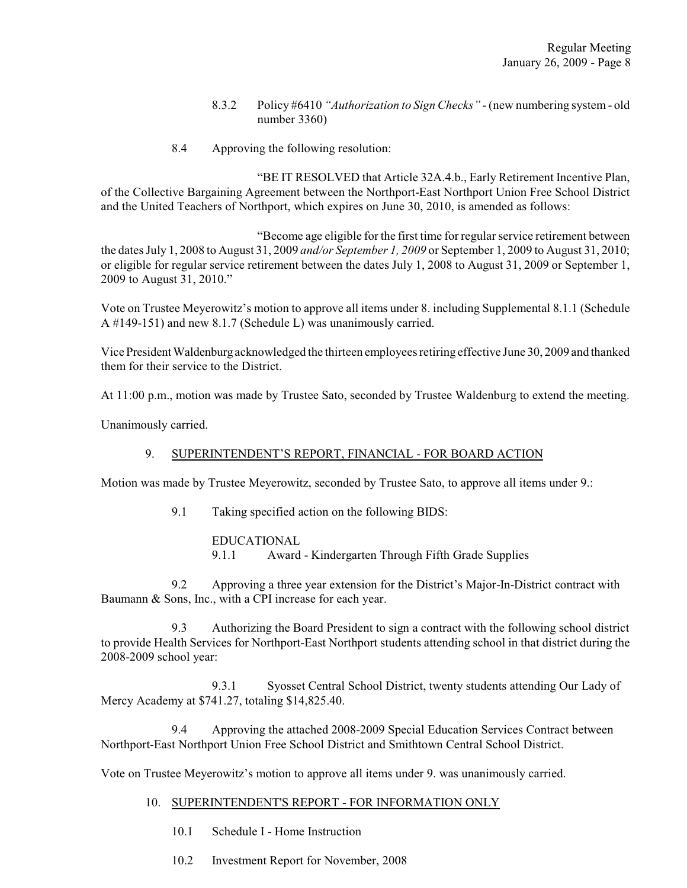- 8.3.2 Policy #6410 *"Authorization to Sign Checks"* (new numbering system old number 3360)
- 8.4 Approving the following resolution:

"BE IT RESOLVED that Article 32A.4.b., Early Retirement Incentive Plan, of the Collective Bargaining Agreement between the Northport-East Northport Union Free School District and the United Teachers of Northport, which expires on June 30, 2010, is amended as follows:

"Become age eligible for the first time for regular service retirement between the dates July 1, 2008 to August 31, 2009 *and/or September 1, 2009* or September 1, 2009 to August 31, 2010; or eligible for regular service retirement between the dates July 1, 2008 to August 31, 2009 or September 1, 2009 to August 31, 2010."

Vote on Trustee Meyerowitz's motion to approve all items under 8. including Supplemental 8.1.1 (Schedule A #149-151) and new 8.1.7 (Schedule L) was unanimously carried.

Vice President Waldenburg acknowledged the thirteen employees retiring effective June 30, 2009 and thanked them for their service to the District.

At 11:00 p.m., motion was made by Trustee Sato, seconded by Trustee Waldenburg to extend the meeting.

Unanimously carried.

# 9. SUPERINTENDENT'S REPORT, FINANCIAL - FOR BOARD ACTION

Motion was made by Trustee Meyerowitz, seconded by Trustee Sato, to approve all items under 9.:

9.1 Taking specified action on the following BIDS:

EDUCATIONAL 9.1.1 Award - Kindergarten Through Fifth Grade Supplies

9.2 Approving a three year extension for the District's Major-In-District contract with Baumann & Sons, Inc., with a CPI increase for each year.

9.3 Authorizing the Board President to sign a contract with the following school district to provide Health Services for Northport-East Northport students attending school in that district during the 2008-2009 school year:

9.3.1 Syosset Central School District, twenty students attending Our Lady of Mercy Academy at \$741.27, totaling \$14,825.40.

9.4 Approving the attached 2008-2009 Special Education Services Contract between Northport-East Northport Union Free School District and Smithtown Central School District.

Vote on Trustee Meyerowitz's motion to approve all items under 9. was unanimously carried.

### 10. SUPERINTENDENT'S REPORT - FOR INFORMATION ONLY

- 10.1 Schedule I Home Instruction
- 10.2 Investment Report for November, 2008